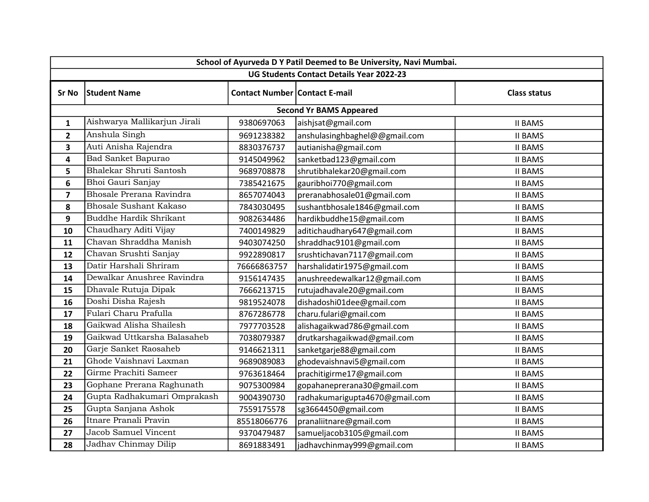| School of Ayurveda D Y Patil Deemed to Be University, Navi Mumbai. |                               |                                      |                                |                     |
|--------------------------------------------------------------------|-------------------------------|--------------------------------------|--------------------------------|---------------------|
| UG Students Contact Details Year 2022-23                           |                               |                                      |                                |                     |
| <b>Sr No</b>                                                       | <b>Student Name</b>           | <b>Contact Number Contact E-mail</b> |                                | <b>Class status</b> |
|                                                                    |                               |                                      | <b>Second Yr BAMS Appeared</b> |                     |
| 1                                                                  | Aishwarya Mallikarjun Jirali  | 9380697063                           | aishjsat@gmail.com             | <b>II BAMS</b>      |
| $\overline{2}$                                                     | Anshula Singh                 | 9691238382                           | anshulasinghbaghel@@gmail.com  | <b>II BAMS</b>      |
| 3                                                                  | Auti Anisha Rajendra          | 8830376737                           | autianisha@gmail.com           | <b>II BAMS</b>      |
| 4                                                                  | <b>Bad Sanket Bapurao</b>     | 9145049962                           | sanketbad123@gmail.com         | <b>II BAMS</b>      |
| 5                                                                  | Bhalekar Shruti Santosh       | 9689708878                           | shrutibhalekar20@gmail.com     | <b>II BAMS</b>      |
| $6\phantom{1}6$                                                    | Bhoi Gauri Sanjay             | 7385421675                           | gauribhoi770@gmail.com         | <b>II BAMS</b>      |
| $\overline{7}$                                                     | Bhosale Prerana Ravindra      | 8657074043                           | preranabhosale01@gmail.com     | <b>II BAMS</b>      |
| 8                                                                  | <b>Bhosale Sushant Kakaso</b> | 7843030495                           | sushantbhosale1846@gmail.com   | <b>II BAMS</b>      |
| 9                                                                  | <b>Buddhe Hardik Shrikant</b> | 9082634486                           | hardikbuddhe15@gmail.com       | <b>II BAMS</b>      |
| 10                                                                 | Chaudhary Aditi Vijay         | 7400149829                           | aditichaudhary647@gmail.com    | <b>II BAMS</b>      |
| 11                                                                 | Chavan Shraddha Manish        | 9403074250                           | shraddhac9101@gmail.com        | <b>II BAMS</b>      |
| 12                                                                 | Chavan Srushti Sanjay         | 9922890817                           | srushtichavan7117@gmail.com    | <b>II BAMS</b>      |
| 13                                                                 | Datir Harshali Shriram        | 76666863757                          | harshalidatir1975@gmail.com    | <b>II BAMS</b>      |
| 14                                                                 | Dewalkar Anushree Ravindra    | 9156147435                           | anushreedewalkar12@gmail.com   | <b>II BAMS</b>      |
| 15                                                                 | Dhavale Rutuja Dipak          | 7666213715                           | rutujadhavale20@gmail.com      | <b>II BAMS</b>      |
| 16                                                                 | Doshi Disha Rajesh            | 9819524078                           | dishadoshi01dee@gmail.com      | <b>II BAMS</b>      |
| 17                                                                 | Fulari Charu Prafulla         | 8767286778                           | charu.fulari@gmail.com         | <b>II BAMS</b>      |
| 18                                                                 | Gaikwad Alisha Shailesh       | 7977703528                           | alishagaikwad786@gmail.com     | <b>II BAMS</b>      |
| 19                                                                 | Gaikwad Uttkarsha Balasaheb   | 7038079387                           | drutkarshagaikwad@gmail.com    | <b>II BAMS</b>      |
| 20                                                                 | Garje Sanket Raosaheb         | 9146621311                           | sanketgarje88@gmail.com        | <b>II BAMS</b>      |
| 21                                                                 | Ghode Vaishnavi Laxman        | 9689089083                           | ghodevaishnavi5@gmail.com      | <b>II BAMS</b>      |
| 22                                                                 | Girme Prachiti Sameer         | 9763618464                           | prachitigirme17@gmail.com      | <b>II BAMS</b>      |
| 23                                                                 | Gophane Prerana Raghunath     | 9075300984                           | gopahaneprerana30@gmail.com    | <b>II BAMS</b>      |
| 24                                                                 | Gupta Radhakumari Omprakash   | 9004390730                           | radhakumarigupta4670@gmail.com | <b>II BAMS</b>      |
| 25                                                                 | Gupta Sanjana Ashok           | 7559175578                           | sg3664450@gmail.com            | <b>II BAMS</b>      |
| 26                                                                 | Itnare Pranali Pravin         | 85518066776                          | pranaliitnare@gmail.com        | <b>II BAMS</b>      |
| 27                                                                 | Jacob Samuel Vincent          | 9370479487                           | samueljacob3105@gmail.com      | <b>II BAMS</b>      |
| 28                                                                 | Jadhav Chinmay Dilip          | 8691883491                           | jadhavchinmay999@gmail.com     | <b>II BAMS</b>      |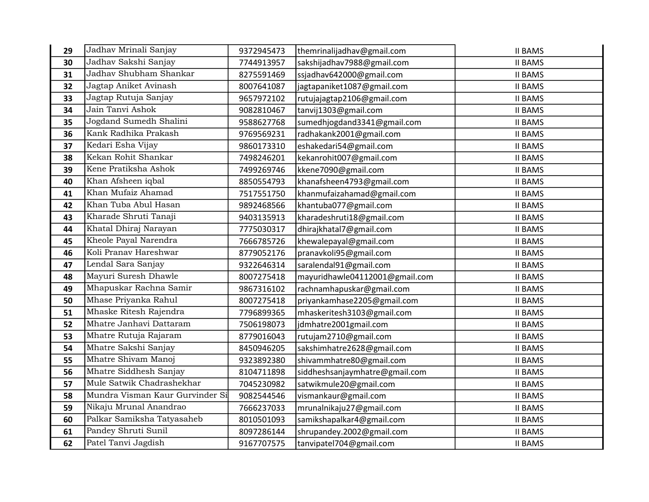| 29 | Jadhav Mrinali Sanjay           | 9372945473 | themrinalijadhav@gmail.com     | <b>II BAMS</b> |
|----|---------------------------------|------------|--------------------------------|----------------|
| 30 | Jadhav Sakshi Sanjay            | 7744913957 | sakshijadhav7988@gmail.com     | <b>II BAMS</b> |
| 31 | Jadhav Shubham Shankar          | 8275591469 | ssjadhav642000@gmail.com       | <b>II BAMS</b> |
| 32 | Jagtap Aniket Avinash           | 8007641087 | jagtapaniket1087@gmail.com     | <b>II BAMS</b> |
| 33 | Jagtap Rutuja Sanjay            | 9657972102 | rutujajagtap2106@gmail.com     | <b>II BAMS</b> |
| 34 | Jain Tanvi Ashok                | 9082810467 | tanvij1303@gmail.com           | <b>II BAMS</b> |
| 35 | Jogdand Sumedh Shalini          | 9588627768 | sumedhjogdand3341@gmail.com    | <b>II BAMS</b> |
| 36 | Kank Radhika Prakash            | 9769569231 | radhakank2001@gmail.com        | <b>II BAMS</b> |
| 37 | Kedari Esha Vijay               | 9860173310 | eshakedari54@gmail.com         | <b>II BAMS</b> |
| 38 | Kekan Rohit Shankar             | 7498246201 | kekanrohit007@gmail.com        | <b>II BAMS</b> |
| 39 | Kene Pratiksha Ashok            | 7499269746 | kkene7090@gmail.com            | <b>II BAMS</b> |
| 40 | Khan Afsheen iqbal              | 8850554793 | khanafsheen4793@gmail.com      | <b>II BAMS</b> |
| 41 | Khan Mufaiz Ahamad              | 7517551750 | khanmufaizahamad@gmail.com     | <b>II BAMS</b> |
| 42 | Khan Tuba Abul Hasan            | 9892468566 | khantuba077@gmail.com          | <b>II BAMS</b> |
| 43 | Kharade Shruti Tanaji           | 9403135913 | kharadeshruti18@gmail.com      | <b>II BAMS</b> |
| 44 | Khatal Dhiraj Narayan           | 7775030317 | dhirajkhatal7@gmail.com        | <b>II BAMS</b> |
| 45 | Kheole Payal Narendra           | 7666785726 | khewalepayal@gmail.com         | <b>II BAMS</b> |
| 46 | Koli Pranav Hareshwar           | 8779052176 | pranavkoli95@gmail.com         | <b>II BAMS</b> |
| 47 | Lendal Sara Sanjay              | 9322646314 | saralendal91@gmail.com         | <b>II BAMS</b> |
| 48 | Mayuri Suresh Dhawle            | 8007275418 | mayuridhawle04112001@gmail.com | <b>II BAMS</b> |
| 49 | Mhapuskar Rachna Samir          | 9867316102 | rachnamhapuskar@gmail.com      | <b>II BAMS</b> |
| 50 | Mhase Priyanka Rahul            | 8007275418 | priyankamhase2205@gmail.com    | <b>II BAMS</b> |
| 51 | Mhaske Ritesh Rajendra          | 7796899365 | mhaskeritesh3103@gmail.com     | <b>II BAMS</b> |
| 52 | Mhatre Janhavi Dattaram         | 7506198073 | jdmhatre2001gmail.com          | <b>II BAMS</b> |
| 53 | Mhatre Rutuja Rajaram           | 8779016043 | rutujam2710@gmail.com          | <b>II BAMS</b> |
| 54 | Mhatre Sakshi Sanjay            | 8450946205 | sakshimhatre2628@gmail.com     | <b>II BAMS</b> |
| 55 | Mhatre Shivam Manoj             | 9323892380 | shivammhatre80@gmail.com       | <b>II BAMS</b> |
| 56 | Mhatre Siddhesh Sanjay          | 8104711898 | siddheshsanjaymhatre@gmail.com | <b>II BAMS</b> |
| 57 | Mule Satwik Chadrashekhar       | 7045230982 | satwikmule20@gmail.com         | <b>II BAMS</b> |
| 58 | Mundra Visman Kaur Gurvinder Si | 9082544546 | vismankaur@gmail.com           | <b>II BAMS</b> |
| 59 | Nikaju Mrunal Anandrao          | 7666237033 | mrunalnikaju27@gmail.com       | <b>II BAMS</b> |
| 60 | Palkar Samiksha Tatyasaheb      | 8010501093 | samikshapalkar4@gmail.com      | <b>II BAMS</b> |
| 61 | Pandey Shruti Sunil             | 8097286144 | shrupandey.2002@gmail.com      | <b>II BAMS</b> |
| 62 | Patel Tanvi Jagdish             | 9167707575 | tanvipatel704@gmail.com        | <b>II BAMS</b> |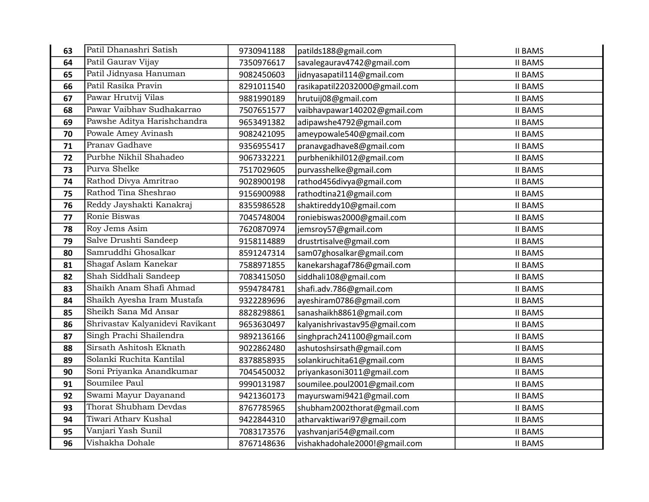| 63 | Patil Dhanashri Satish          | 9730941188 | patilds188@gmail.com          | <b>II BAMS</b> |
|----|---------------------------------|------------|-------------------------------|----------------|
| 64 | Patil Gaurav Vijay              | 7350976617 | savalegaurav4742@gmail.com    | <b>II BAMS</b> |
| 65 | Patil Jidnyasa Hanuman          | 9082450603 | jidnyasapatil114@gmail.com    | <b>II BAMS</b> |
| 66 | Patil Rasika Pravin             | 8291011540 | rasikapatil22032000@gmail.com | <b>II BAMS</b> |
| 67 | Pawar Hrutvij Vilas             | 9881990189 | hrutuij08@gmail.com           | <b>II BAMS</b> |
| 68 | Pawar Vaibhav Sudhakarrao       | 7507651577 | vaibhavpawar140202@gmail.com  | <b>II BAMS</b> |
| 69 | Pawshe Aditya Harishchandra     | 9653491382 | adipawshe4792@gmail.com       | <b>II BAMS</b> |
| 70 | Powale Amey Avinash             | 9082421095 | ameypowale540@gmail.com       | <b>II BAMS</b> |
| 71 | Pranav Gadhave                  | 9356955417 | pranavgadhave8@gmail.com      | <b>II BAMS</b> |
| 72 | Purbhe Nikhil Shahadeo          | 9067332221 | purbhenikhil012@gmail.com     | <b>II BAMS</b> |
| 73 | Purva Shelke                    | 7517029605 | purvasshelke@gmail.com        | <b>II BAMS</b> |
| 74 | Rathod Divya Amritrao           | 9028900198 | rathod456divya@gmail.com      | <b>II BAMS</b> |
| 75 | Rathod Tina Sheshrao            | 9156900988 | rathodtina21@gmail.com        | <b>II BAMS</b> |
| 76 | Reddy Jayshakti Kanakraj        | 8355986528 | shaktireddy10@gmail.com       | <b>II BAMS</b> |
| 77 | Ronie Biswas                    | 7045748004 | roniebiswas2000@gmail.com     | <b>II BAMS</b> |
| 78 | Roy Jems Asim                   | 7620870974 | jemsroy57@gmail.com           | <b>II BAMS</b> |
| 79 | Salve Drushti Sandeep           | 9158114889 | drustrtisalve@gmail.com       | <b>II BAMS</b> |
| 80 | Samruddhi Ghosalkar             | 8591247314 | sam07ghosalkar@gmail.com      | <b>II BAMS</b> |
| 81 | Shagaf Aslam Kanekar            | 7588971855 | kanekarshagaf786@gmail.com    | <b>II BAMS</b> |
| 82 | Shah Siddhali Sandeep           | 7083415050 | siddhali108@gmail.com         | <b>II BAMS</b> |
| 83 | Shaikh Anam Shafi Ahmad         | 9594784781 | shafi.adv.786@gmail.com       | <b>II BAMS</b> |
| 84 | Shaikh Ayesha Iram Mustafa      | 9322289696 | ayeshiram0786@gmail.com       | <b>II BAMS</b> |
| 85 | Sheikh Sana Md Ansar            | 8828298861 | sanashaikh8861@gmail.com      | <b>II BAMS</b> |
| 86 | Shrivastav Kalyanidevi Ravikant | 9653630497 | kalyanishrivastav95@gmail.com | <b>II BAMS</b> |
| 87 | Singh Prachi Shailendra         | 9892136166 | singhprach241100@gmail.com    | <b>II BAMS</b> |
| 88 | Sirsath Ashitosh Eknath         | 9022862480 | ashutoshsirsath@gmail.com     | <b>II BAMS</b> |
| 89 | Solanki Ruchita Kantilal        | 8378858935 | solankiruchita61@gmail.com    | <b>II BAMS</b> |
| 90 | Soni Priyanka Anandkumar        | 7045450032 | priyankasoni3011@gmail.com    | <b>II BAMS</b> |
| 91 | Soumilee Paul                   | 9990131987 | soumilee.poul2001@gmail.com   | <b>II BAMS</b> |
| 92 | Swami Mayur Dayanand            | 9421360173 | mayurswami9421@gmail.com      | <b>II BAMS</b> |
| 93 | Thorat Shubham Devdas           | 8767785965 | shubham2002thorat@gmail.com   | <b>II BAMS</b> |
| 94 | Tiwari Atharv Kushal            | 9422844310 | atharvaktiwari97@gmail.com    | <b>II BAMS</b> |
| 95 | Vanjari Yash Sunil              | 7083173576 | yashvanjari54@gmail.com       | <b>II BAMS</b> |
| 96 | Vishakha Dohale                 | 8767148636 | vishakhadohale2000!@gmail.com | <b>II BAMS</b> |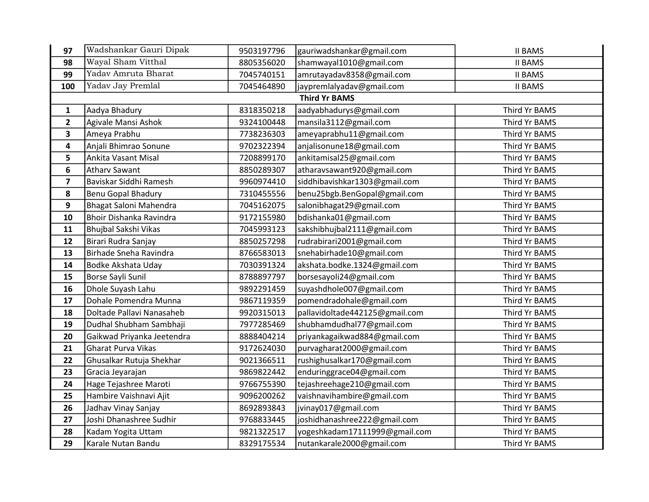| 97                      | Wadshankar Gauri Dipak     | 9503197796 | gauriwadshankar@gmail.com      | <b>II BAMS</b> |
|-------------------------|----------------------------|------------|--------------------------------|----------------|
| 98                      | Wayal Sham Vitthal         | 8805356020 | shamwayal1010@gmail.com        | <b>II BAMS</b> |
| 99                      | Yadav Amruta Bharat        | 7045740151 | amrutayadav8358@gmail.com      | <b>II BAMS</b> |
| 100                     | Yadav Jay Premlal          | 7045464890 | jaypremlalyadav@gmail.com      | <b>II BAMS</b> |
|                         |                            |            | <b>Third Yr BAMS</b>           |                |
| $\mathbf{1}$            | Aadya Bhadury              | 8318350218 | aadyabhadurys@gmail.com        | Third Yr BAMS  |
| $\overline{2}$          | Agivale Mansi Ashok        | 9324100448 | mansila3112@gmail.com          | Third Yr BAMS  |
| 3                       | Ameya Prabhu               | 7738236303 | ameyaprabhu11@gmail.com        | Third Yr BAMS  |
| 4                       | Anjali Bhimrao Sonune      | 9702322394 | anjalisonune18@gmail.com       | Third Yr BAMS  |
| 5                       | Ankita Vasant Misal        | 7208899170 | ankitamisal25@gmail.com        | Third Yr BAMS  |
| 6                       | <b>Athary Sawant</b>       | 8850289307 | atharavsawant920@gmail.com     | Third Yr BAMS  |
| $\overline{\mathbf{z}}$ | Baviskar Siddhi Ramesh     | 9960974410 | siddhibavishkar1303@gmail.com  | Third Yr BAMS  |
| 8                       | <b>Benu Gopal Bhadury</b>  | 7310455556 | benu25bgb.BenGopal@gmail.com   | Third Yr BAMS  |
| 9                       | Bhagat Saloni Mahendra     | 7045162075 | salonibhagat29@gmail.com       | Third Yr BAMS  |
| 10                      | Bhoir Dishanka Ravindra    | 9172155980 | bdishanka01@gmail.com          | Third Yr BAMS  |
| 11                      | Bhujbal Sakshi Vikas       | 7045993123 | sakshibhujbal2111@gmail.com    | Third Yr BAMS  |
| 12                      | Birari Rudra Sanjay        | 8850257298 | rudrabirari2001@gmail.com      | Third Yr BAMS  |
| 13                      | Birhade Sneha Ravindra     | 8766583013 | snehabirhade10@gmail.com       | Third Yr BAMS  |
| 14                      | <b>Bodke Akshata Uday</b>  | 7030391324 | akshata.bodke.1324@gmail.com   | Third Yr BAMS  |
| 15                      | Borse Sayli Sunil          | 8788897797 | borsesayoli24@gmail.com        | Third Yr BAMS  |
| 16                      | Dhole Suyash Lahu          | 9892291459 | suyashdhole007@gmail.com       | Third Yr BAMS  |
| 17                      | Dohale Pomendra Munna      | 9867119359 | pomendradohale@gmail.com       | Third Yr BAMS  |
| 18                      | Doltade Pallavi Nanasaheb  | 9920315013 | pallavidoltade442125@gmail.com | Third Yr BAMS  |
| 19                      | Dudhal Shubham Sambhaji    | 7977285469 | shubhamdudhal77@gmail.com      | Third Yr BAMS  |
| 20                      | Gaikwad Priyanka Jeetendra | 8888404214 | priyankagaikwad884@gmail.com   | Third Yr BAMS  |
| 21                      | Gharat Purva Vikas         | 9172624030 | purvagharat2000@gmail.com      | Third Yr BAMS  |
| 22                      | Ghusalkar Rutuja Shekhar   | 9021366511 | rushighusalkar170@gmail.com    | Third Yr BAMS  |
| 23                      | Gracia Jeyarajan           | 9869822442 | enduringgrace04@gmail.com      | Third Yr BAMS  |
| 24                      | Hage Tejashree Maroti      | 9766755390 | tejashreehage210@gmail.com     | Third Yr BAMS  |
| 25                      | Hambire Vaishnavi Ajit     | 9096200262 | vaishnavihambire@gmail.com     | Third Yr BAMS  |
| 26                      | Jadhav Vinay Sanjay        | 8692893843 | jvinay017@gmail.com            | Third Yr BAMS  |
| 27                      | Joshi Dhanashree Sudhir    | 9768833445 | joshidhanashree222@gmail.com   | Third Yr BAMS  |
| 28                      | Kadam Yogita Uttam         | 9821322517 | yogeshkadam17111999@gmail.com  | Third Yr BAMS  |
| 29                      | Karale Nutan Bandu         | 8329175534 | nutankarale2000@gmail.com      | Third Yr BAMS  |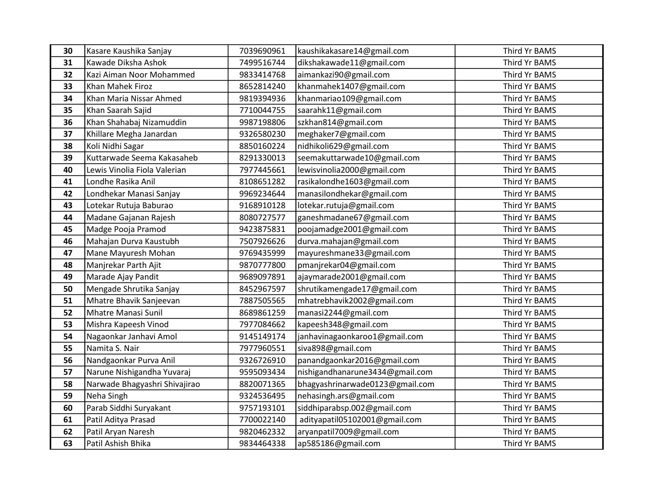| 30 | Kasare Kaushika Sanjay        | 7039690961 | kaushikakasare14@gmail.com      | Third Yr BAMS |
|----|-------------------------------|------------|---------------------------------|---------------|
| 31 | Kawade Diksha Ashok           | 7499516744 | dikshakawade11@gmail.com        | Third Yr BAMS |
| 32 | Kazi Aiman Noor Mohammed      | 9833414768 | aimankazi90@gmail.com           | Third Yr BAMS |
| 33 | Khan Mahek Firoz              | 8652814240 | khanmahek1407@gmail.com         | Third Yr BAMS |
| 34 | Khan Maria Nissar Ahmed       | 9819394936 | khanmariao109@gmail.com         | Third Yr BAMS |
| 35 | Khan Saarah Sajid             | 7710044755 | saarahk11@gmail.com             | Third Yr BAMS |
| 36 | Khan Shahabaj Nizamuddin      | 9987198806 | szkhan814@gmail.com             | Third Yr BAMS |
| 37 | Khillare Megha Janardan       | 9326580230 | meghaker7@gmail.com             | Third Yr BAMS |
| 38 | Koli Nidhi Sagar              | 8850160224 | nidhikoli629@gmail.com          | Third Yr BAMS |
| 39 | Kuttarwade Seema Kakasaheb    | 8291330013 | seemakuttarwade10@gmail.com     | Third Yr BAMS |
| 40 | Lewis Vinolia Fiola Valerian  | 7977445661 | lewisvinolia2000@gmail.com      | Third Yr BAMS |
| 41 | Londhe Rasika Anil            | 8108651282 | rasikalondhe1603@gmail.com      | Third Yr BAMS |
| 42 | Londhekar Manasi Sanjay       | 9969234644 | manasilondhekar@gmail.com       | Third Yr BAMS |
| 43 | Lotekar Rutuja Baburao        | 9168910128 | lotekar.rutuja@gmail.com        | Third Yr BAMS |
| 44 | Madane Gajanan Rajesh         | 8080727577 | ganeshmadane67@gmail.com        | Third Yr BAMS |
| 45 | Madge Pooja Pramod            | 9423875831 | poojamadge2001@gmail.com        | Third Yr BAMS |
| 46 | Mahajan Durva Kaustubh        | 7507926626 | durva.mahajan@gmail.com         | Third Yr BAMS |
| 47 | Mane Mayuresh Mohan           | 9769435999 | mayureshmane33@gmail.com        | Third Yr BAMS |
| 48 | Manjrekar Parth Ajit          | 9870777800 | pmanjrekar04@gmail.com          | Third Yr BAMS |
| 49 | Marade Ajay Pandit            | 9689097891 | ajaymarade2001@gmail.com        | Third Yr BAMS |
| 50 | Mengade Shrutika Sanjay       | 8452967597 | shrutikamengade17@gmail.com     | Third Yr BAMS |
| 51 | Mhatre Bhavik Sanjeevan       | 7887505565 | mhatrebhavik2002@gmail.com      | Third Yr BAMS |
| 52 | Mhatre Manasi Sunil           | 8689861259 | manasi2244@gmail.com            | Third Yr BAMS |
| 53 | Mishra Kapeesh Vinod          | 7977084662 | kapeesh348@gmail.com            | Third Yr BAMS |
| 54 | Nagaonkar Janhavi Amol        | 9145149174 | janhavinagaonkaroo1@gmail.com   | Third Yr BAMS |
| 55 | Namita S. Nair                | 7977960551 | siva898@gmail.com               | Third Yr BAMS |
| 56 | Nandgaonkar Purva Anil        | 9326726910 | panandgaonkar2016@gmail.com     | Third Yr BAMS |
| 57 | Narune Nishigandha Yuvaraj    | 9595093434 | nishigandhanarune3434@gmail.com | Third Yr BAMS |
| 58 | Narwade Bhagyashri Shivajirao | 8820071365 | bhagyashrinarwade0123@gmail.com | Third Yr BAMS |
| 59 | Neha Singh                    | 9324536495 | nehasingh.ars@gmail.com         | Third Yr BAMS |
| 60 | Parab Siddhi Suryakant        | 9757193101 | siddhiparabsp.002@gmail.com     | Third Yr BAMS |
| 61 | Patil Aditya Prasad           | 7700022140 | adityapatil05102001@gmail.com   | Third Yr BAMS |
| 62 | Patil Aryan Naresh            | 9820462332 | aryanpatil7009@gmail.com        | Third Yr BAMS |
| 63 | Patil Ashish Bhika            | 9834464338 | ap585186@gmail.com              | Third Yr BAMS |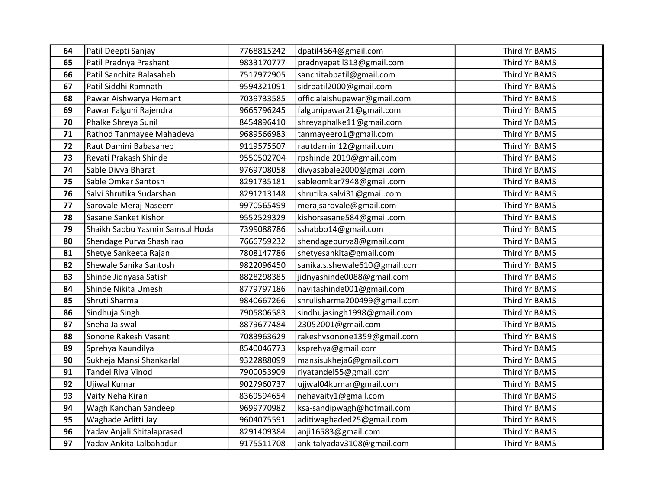| 64 | Patil Deepti Sanjay             | 7768815242 | dpatil4664@gmail.com          | Third Yr BAMS |
|----|---------------------------------|------------|-------------------------------|---------------|
| 65 | Patil Pradnya Prashant          | 9833170777 | pradnyapatil313@gmail.com     | Third Yr BAMS |
| 66 | Patil Sanchita Balasaheb        | 7517972905 | sanchitabpatil@gmail.com      | Third Yr BAMS |
| 67 | Patil Siddhi Ramnath            | 9594321091 | sidrpatil2000@gmail.com       | Third Yr BAMS |
| 68 | Pawar Aishwarya Hemant          | 7039733585 | officialaishupawar@gmail.com  | Third Yr BAMS |
| 69 | Pawar Falguni Rajendra          | 9665796245 | falgunipawar21@gmail.com      | Third Yr BAMS |
| 70 | Phalke Shreya Sunil             | 8454896410 | shreyaphalke11@gmail.com      | Third Yr BAMS |
| 71 | Rathod Tanmayee Mahadeva        | 9689566983 | tanmayeero1@gmail.com         | Third Yr BAMS |
| 72 | Raut Damini Babasaheb           | 9119575507 | rautdamini12@gmail.com        | Third Yr BAMS |
| 73 | Revati Prakash Shinde           | 9550502704 | rpshinde.2019@gmail.com       | Third Yr BAMS |
| 74 | Sable Divya Bharat              | 9769708058 | divyasabale2000@gmail.com     | Third Yr BAMS |
| 75 | Sable Omkar Santosh             | 8291735181 | sableomkar7948@gmail.com      | Third Yr BAMS |
| 76 | Salvi Shrutika Sudarshan        | 8291213148 | shrutika.salvi31@gmail.com    | Third Yr BAMS |
| 77 | Sarovale Meraj Naseem           | 9970565499 | merajsarovale@gmail.com       | Third Yr BAMS |
| 78 | Sasane Sanket Kishor            | 9552529329 | kishorsasane584@gmail.com     | Third Yr BAMS |
| 79 | Shaikh Sabbu Yasmin Samsul Hoda | 7399088786 | sshabbo14@gmail.com           | Third Yr BAMS |
| 80 | Shendage Purva Shashirao        | 7666759232 | shendagepurva8@gmail.com      | Third Yr BAMS |
| 81 | Shetye Sankeeta Rajan           | 7808147786 | shetyesankita@gmail.com       | Third Yr BAMS |
| 82 | Shewale Sanika Santosh          | 9822096450 | sanika.s.shewale610@gmail.com | Third Yr BAMS |
| 83 | Shinde Jidnyasa Satish          | 8828298385 | jidnyashinde0088@gmail.com    | Third Yr BAMS |
| 84 | Shinde Nikita Umesh             | 8779797186 | navitashinde001@gmail.com     | Third Yr BAMS |
| 85 | Shruti Sharma                   | 9840667266 | shrulisharma200499@gmail.com  | Third Yr BAMS |
| 86 | Sindhuja Singh                  | 7905806583 | sindhujasingh1998@gmail.com   | Third Yr BAMS |
| 87 | Sneha Jaiswal                   | 8879677484 | 23052001@gmail.com            | Third Yr BAMS |
| 88 | Sonone Rakesh Vasant            | 7083963629 | rakeshvsonone1359@gmail.com   | Third Yr BAMS |
| 89 | Sprehya Kaundilya               | 8540046773 | ksprehya@gmail.com            | Third Yr BAMS |
| 90 | Sukheja Mansi Shankarlal        | 9322888099 | mansisukheja6@gmail.com       | Third Yr BAMS |
| 91 | Tandel Riya Vinod               | 7900053909 | riyatandel55@gmail.com        | Third Yr BAMS |
| 92 | Ujiwal Kumar                    | 9027960737 | ujjwal04kumar@gmail.com       | Third Yr BAMS |
| 93 | Vaity Neha Kiran                | 8369594654 | nehavaity1@gmail.com          | Third Yr BAMS |
| 94 | Wagh Kanchan Sandeep            | 9699770982 | ksa-sandipwagh@hotmail.com    | Third Yr BAMS |
| 95 | Waghade Aditti Jay              | 9604075591 | aditiwaghaded25@gmail.com     | Third Yr BAMS |
| 96 | Yadav Anjali Shitalaprasad      | 8291409384 | anji16583@gmail.com           | Third Yr BAMS |
| 97 | Yadav Ankita Lalbahadur         | 9175511708 | ankitalyadav3108@gmail.com    | Third Yr BAMS |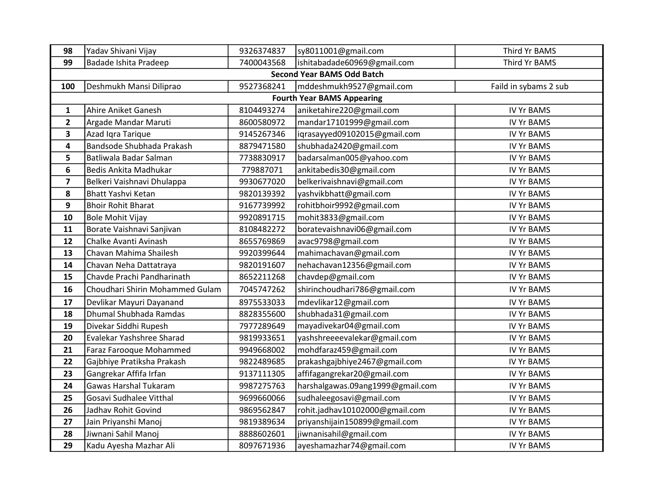| 98                      | Yadav Shivani Vijay             | 9326374837 | sy8011001@gmail.com               | Third Yr BAMS         |
|-------------------------|---------------------------------|------------|-----------------------------------|-----------------------|
| 99                      | Badade Ishita Pradeep           | 7400043568 | ishitabadade60969@gmail.com       | Third Yr BAMS         |
|                         |                                 |            | <b>Second Year BAMS Odd Batch</b> |                       |
| 100                     | Deshmukh Mansi Diliprao         | 9527368241 | mddeshmukh9527@gmail.com          | Faild in sybams 2 sub |
|                         |                                 |            | <b>Fourth Year BAMS Appearing</b> |                       |
| $\mathbf 1$             | Ahire Aniket Ganesh             | 8104493274 | aniketahire220@gmail.com          | <b>IV Yr BAMS</b>     |
| $\mathbf{2}$            | Argade Mandar Maruti            | 8600580972 | mandar17101999@gmail.com          | <b>IV Yr BAMS</b>     |
| 3                       | Azad Igra Tarique               | 9145267346 | iqrasayyed09102015@gmail.com      | <b>IV Yr BAMS</b>     |
| 4                       | Bandsode Shubhada Prakash       | 8879471580 | shubhada2420@gmail.com            | <b>IV Yr BAMS</b>     |
| 5                       | Batliwala Badar Salman          | 7738830917 | badarsalman005@yahoo.com          | <b>IV Yr BAMS</b>     |
| 6                       | Bedis Ankita Madhukar           | 779887071  | ankitabedis30@gmail.com           | <b>IV Yr BAMS</b>     |
| $\overline{\mathbf{z}}$ | Belkeri Vaishnavi Dhulappa      | 9930677020 | belkerivaishnavi@gmail.com        | <b>IV Yr BAMS</b>     |
| 8                       | Bhatt Yashvi Ketan              | 9820139392 | yashvikbhatt@gmail.com            | <b>IV Yr BAMS</b>     |
| 9                       | <b>Bhoir Rohit Bharat</b>       | 9167739992 | rohitbhoir9992@gmail.com          | <b>IV Yr BAMS</b>     |
| 10                      | <b>Bole Mohit Vijay</b>         | 9920891715 | mohit3833@gmail.com               | <b>IV Yr BAMS</b>     |
| 11                      | Borate Vaishnavi Sanjivan       | 8108482272 | boratevaishnavi06@gmail.com       | <b>IV Yr BAMS</b>     |
| 12                      | Chalke Avanti Avinash           | 8655769869 | avac9798@gmail.com                | <b>IV Yr BAMS</b>     |
| 13                      | Chavan Mahima Shailesh          | 9920399644 | mahimachavan@gmail.com            | <b>IV Yr BAMS</b>     |
| 14                      | Chavan Neha Dattatraya          | 9820191607 | nehachavan12356@gmail.com         | <b>IV Yr BAMS</b>     |
| 15                      | Chavde Prachi Pandharinath      | 8652211268 | chavdep@gmail.com                 | <b>IV Yr BAMS</b>     |
| 16                      | Choudhari Shirin Mohammed Gulam | 7045747262 | shirinchoudhari786@gmail.com      | <b>IV Yr BAMS</b>     |
| 17                      | Devlikar Mayuri Dayanand        | 8975533033 | mdevlikar12@gmail.com             | <b>IV Yr BAMS</b>     |
| 18                      | Dhumal Shubhada Ramdas          | 8828355600 | shubhada31@gmail.com              | <b>IV Yr BAMS</b>     |
| 19                      | Divekar Siddhi Rupesh           | 7977289649 | mayadivekar04@gmail.com           | <b>IV Yr BAMS</b>     |
| 20                      | Evalekar Yashshree Sharad       | 9819933651 | yashshreeeevalekar@gmail.com      | <b>IV Yr BAMS</b>     |
| 21                      | Faraz Farooque Mohammed         | 9949668002 | mohdfaraz459@gmail.com            | <b>IV Yr BAMS</b>     |
| 22                      | Gajbhiye Pratiksha Prakash      | 9822489685 | prakashgajbhiye2467@gmail.com     | <b>IV Yr BAMS</b>     |
| 23                      | Gangrekar Affifa Irfan          | 9137111305 | affifagangrekar20@gmail.com       | <b>IV Yr BAMS</b>     |
| 24                      | <b>Gawas Harshal Tukaram</b>    | 9987275763 | harshalgawas.09ang1999@gmail.com  | <b>IV Yr BAMS</b>     |
| 25                      | Gosavi Sudhalee Vitthal         | 9699660066 | sudhaleegosavi@gmail.com          | <b>IV Yr BAMS</b>     |
| 26                      | Jadhav Rohit Govind             | 9869562847 | rohit.jadhav10102000@gmail.com    | <b>IV Yr BAMS</b>     |
| 27                      | Jain Priyanshi Manoj            | 9819389634 | priyanshijain150899@gmail.com     | <b>IV Yr BAMS</b>     |
| 28                      | Jiwnani Sahil Manoj             | 8888602601 | jiwnanisahil@gmail.com            | <b>IV Yr BAMS</b>     |
| 29                      | Kadu Ayesha Mazhar Ali          | 8097671936 | ayeshamazhar74@gmail.com          | <b>IV Yr BAMS</b>     |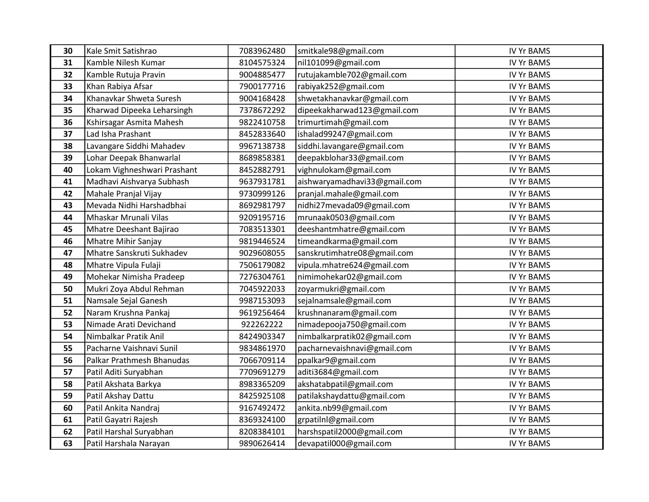| 30 | Kale Smit Satishrao         | 7083962480 | smitkale98@gmail.com         | <b>IV Yr BAMS</b> |
|----|-----------------------------|------------|------------------------------|-------------------|
| 31 | Kamble Nilesh Kumar         | 8104575324 | nil101099@gmail.com          | <b>IV Yr BAMS</b> |
| 32 | Kamble Rutuja Pravin        | 9004885477 | rutujakamble702@gmail.com    | <b>IV Yr BAMS</b> |
| 33 | Khan Rabiya Afsar           | 7900177716 | rabiyak252@gmail.com         | <b>IV Yr BAMS</b> |
| 34 | Khanavkar Shweta Suresh     | 9004168428 | shwetakhanavkar@gmail.com    | <b>IV Yr BAMS</b> |
| 35 | Kharwad Dipeeka Leharsingh  | 7378672292 | dipeekakharwad123@gmail.com  | <b>IV Yr BAMS</b> |
| 36 | Kshirsagar Asmita Mahesh    | 9822410758 | trimurtimah@gmail.com        | <b>IV Yr BAMS</b> |
| 37 | Lad Isha Prashant           | 8452833640 | ishalad99247@gmail.com       | <b>IV Yr BAMS</b> |
| 38 | Lavangare Siddhi Mahadev    | 9967138738 | siddhi.lavangare@gmail.com   | <b>IV Yr BAMS</b> |
| 39 | Lohar Deepak Bhanwarlal     | 8689858381 | deepakblohar33@gmail.com     | <b>IV Yr BAMS</b> |
| 40 | Lokam Vighneshwari Prashant | 8452882791 | vighnulokam@gmail.com        | <b>IV Yr BAMS</b> |
| 41 | Madhavi Aishvarya Subhash   | 9637931781 | aishwaryamadhavi33@gmail.com | <b>IV Yr BAMS</b> |
| 42 | Mahale Pranjal Vijay        | 9730999126 | pranjal.mahale@gmail.com     | <b>IV Yr BAMS</b> |
| 43 | Mevada Nidhi Harshadbhai    | 8692981797 | nidhi27mevada09@gmail.com    | <b>IV Yr BAMS</b> |
| 44 | Mhaskar Mrunali Vilas       | 9209195716 | mrunaak0503@gmail.com        | <b>IV Yr BAMS</b> |
| 45 | Mhatre Deeshant Bajirao     | 7083513301 | deeshantmhatre@gmail.com     | <b>IV Yr BAMS</b> |
| 46 | Mhatre Mihir Sanjay         | 9819446524 | timeandkarma@gmail.com       | <b>IV Yr BAMS</b> |
| 47 | Mhatre Sanskruti Sukhadev   | 9029608055 | sanskrutimhatre08@gmail.com  | <b>IV Yr BAMS</b> |
| 48 | Mhatre Vipula Fulaji        | 7506179082 | vipula.mhatre624@gmail.com   | <b>IV Yr BAMS</b> |
| 49 | Mohekar Nimisha Pradeep     | 7276304761 | nimimohekar02@gmail.com      | <b>IV Yr BAMS</b> |
| 50 | Mukri Zoya Abdul Rehman     | 7045922033 | zoyarmukri@gmail.com         | <b>IV Yr BAMS</b> |
| 51 | Namsale Sejal Ganesh        | 9987153093 | sejalnamsale@gmail.com       | <b>IV Yr BAMS</b> |
| 52 | Naram Krushna Pankaj        | 9619256464 | krushnanaram@gmail.com       | <b>IV Yr BAMS</b> |
| 53 | Nimade Arati Devichand      | 922262222  | nimadepooja750@gmail.com     | <b>IV Yr BAMS</b> |
| 54 | Nimbalkar Pratik Anil       | 8424903347 | nimbalkarpratik02@gmail.com  | <b>IV Yr BAMS</b> |
| 55 | Pacharne Vaishnavi Sunil    | 9834861970 | pacharnevaishnavi@gmail.com  | <b>IV Yr BAMS</b> |
| 56 | Palkar Prathmesh Bhanudas   | 7066709114 | ppalkar9@gmail.com           | <b>IV Yr BAMS</b> |
| 57 | Patil Aditi Suryabhan       | 7709691279 | aditi3684@gmail.com          | <b>IV Yr BAMS</b> |
| 58 | Patil Akshata Barkya        | 8983365209 | akshatabpatil@gmail.com      | <b>IV Yr BAMS</b> |
| 59 | Patil Akshay Dattu          | 8425925108 | patilakshaydattu@gmail.com   | <b>IV Yr BAMS</b> |
| 60 | Patil Ankita Nandraj        | 9167492472 | ankita.nb99@gmail.com        | <b>IV Yr BAMS</b> |
| 61 | Patil Gayatri Rajesh        | 8369324100 | grpatilnl@gmail.com          | <b>IV Yr BAMS</b> |
| 62 | Patil Harshal Suryabhan     | 8208384101 | harshspatil2000@gmail.com    | <b>IV Yr BAMS</b> |
| 63 | Patil Harshala Narayan      | 9890626414 | devapatil000@gmail.com       | <b>IV Yr BAMS</b> |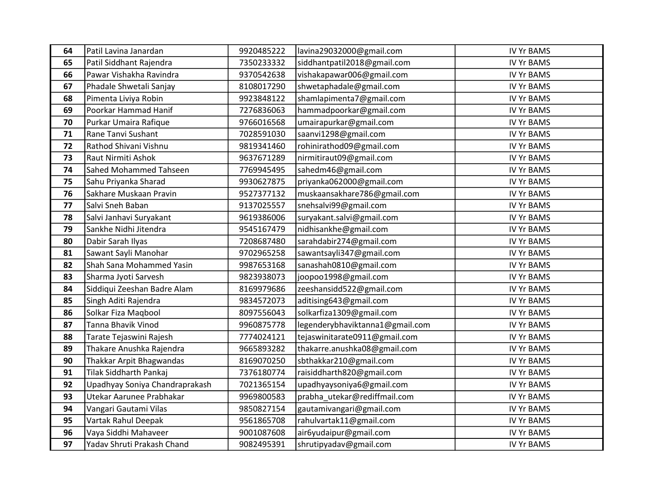| 64 | Patil Lavina Janardan          | 9920485222 | lavina29032000@gmail.com        | <b>IV Yr BAMS</b> |
|----|--------------------------------|------------|---------------------------------|-------------------|
| 65 | Patil Siddhant Rajendra        | 7350233332 | siddhantpatil2018@gmail.com     | <b>IV Yr BAMS</b> |
| 66 | Pawar Vishakha Ravindra        | 9370542638 | vishakapawar006@gmail.com       | <b>IV Yr BAMS</b> |
| 67 | Phadale Shwetali Sanjay        | 8108017290 | shwetaphadale@gmail.com         | <b>IV Yr BAMS</b> |
| 68 | Pimenta Liviya Robin           | 9923848122 | shamlapimenta7@gmail.com        | <b>IV Yr BAMS</b> |
| 69 | Poorkar Hammad Hanif           | 7276836063 | hammadpoorkar@gmail.com         | <b>IV Yr BAMS</b> |
| 70 | Purkar Umaira Rafique          | 9766016568 | umairapurkar@gmail.com          | <b>IV Yr BAMS</b> |
| 71 | Rane Tanvi Sushant             | 7028591030 | saanvi1298@gmail.com            | <b>IV Yr BAMS</b> |
| 72 | Rathod Shivani Vishnu          | 9819341460 | rohinirathod09@gmail.com        | <b>IV Yr BAMS</b> |
| 73 | Raut Nirmiti Ashok             | 9637671289 | nirmitiraut09@gmail.com         | <b>IV Yr BAMS</b> |
| 74 | Sahed Mohammed Tahseen         | 7769945495 | sahedm46@gmail.com              | <b>IV Yr BAMS</b> |
| 75 | Sahu Priyanka Sharad           | 9930627875 | priyanka062000@gmail.com        | <b>IV Yr BAMS</b> |
| 76 | Sakhare Muskaan Pravin         | 9527377132 | muskaansakhare786@gmail.com     | <b>IV Yr BAMS</b> |
| 77 | Salvi Sneh Baban               | 9137025557 | snehsalvi99@gmail.com           | <b>IV Yr BAMS</b> |
| 78 | Salvi Janhavi Suryakant        | 9619386006 | suryakant.salvi@gmail.com       | <b>IV Yr BAMS</b> |
| 79 | Sankhe Nidhi Jitendra          | 9545167479 | nidhisankhe@gmail.com           | <b>IV Yr BAMS</b> |
| 80 | Dabir Sarah Ilyas              | 7208687480 | sarahdabir274@gmail.com         | <b>IV Yr BAMS</b> |
| 81 | Sawant Sayli Manohar           | 9702965258 | sawantsayli347@gmail.com        | <b>IV Yr BAMS</b> |
| 82 | Shah Sana Mohammed Yasin       | 9987653168 | sanashah0810@gmail.com          | <b>IV Yr BAMS</b> |
| 83 | Sharma Jyoti Sarvesh           | 9823938073 | joopoo1998@gmail.com            | <b>IV Yr BAMS</b> |
| 84 | Siddiqui Zeeshan Badre Alam    | 8169979686 | zeeshansidd522@gmail.com        | <b>IV Yr BAMS</b> |
| 85 | Singh Aditi Rajendra           | 9834572073 | aditising643@gmail.com          | <b>IV Yr BAMS</b> |
| 86 | Solkar Fiza Magbool            | 8097556043 | solkarfiza1309@gmail.com        | <b>IV Yr BAMS</b> |
| 87 | Tanna Bhavik Vinod             | 9960875778 | legenderybhaviktanna1@gmail.com | <b>IV Yr BAMS</b> |
| 88 | Tarate Tejaswini Rajesh        | 7774024121 | tejaswinitarate0911@gmail.com   | <b>IV Yr BAMS</b> |
| 89 | Thakare Anushka Rajendra       | 9665893282 | thakarre.anushka08@gmail.com    | <b>IV Yr BAMS</b> |
| 90 | Thakkar Arpit Bhagwandas       | 8169070250 | sbthakkar210@gmail.com          | <b>IV Yr BAMS</b> |
| 91 | <b>Tilak Siddharth Pankaj</b>  | 7376180774 | raisiddharth820@gmail.com       | <b>IV Yr BAMS</b> |
| 92 | Upadhyay Soniya Chandraprakash | 7021365154 | upadhyaysoniya6@gmail.com       | <b>IV Yr BAMS</b> |
| 93 | Utekar Aarunee Prabhakar       | 9969800583 | prabha_utekar@rediffmail.com    | <b>IV Yr BAMS</b> |
| 94 | Vangari Gautami Vilas          | 9850827154 | gautamivangari@gmail.com        | <b>IV Yr BAMS</b> |
| 95 | Vartak Rahul Deepak            | 9561865708 | rahulvartak11@gmail.com         | <b>IV Yr BAMS</b> |
| 96 | Vaya Siddhi Mahaveer           | 9001087608 | air6yudaipur@gmail.com          | <b>IV Yr BAMS</b> |
| 97 | Yadav Shruti Prakash Chand     | 9082495391 | shrutipyadav@gmail.com          | <b>IV Yr BAMS</b> |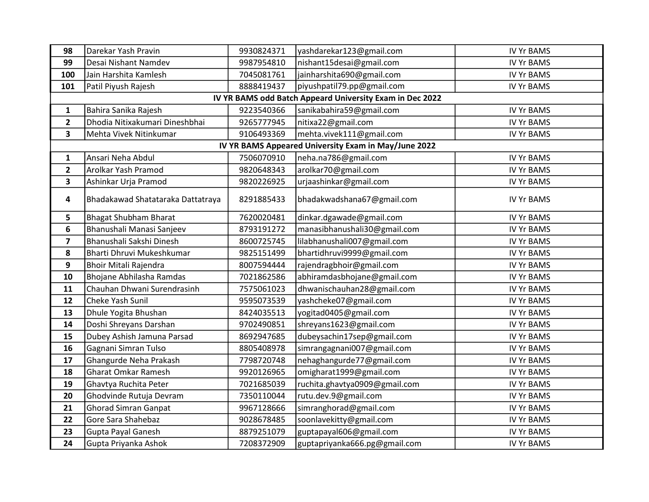| 98                      | Darekar Yash Pravin                                      | 9930824371 | yashdarekar123@gmail.com                             | <b>IV Yr BAMS</b> |  |  |  |  |
|-------------------------|----------------------------------------------------------|------------|------------------------------------------------------|-------------------|--|--|--|--|
| 99                      | Desai Nishant Namdev                                     | 9987954810 | nishant15desai@gmail.com                             | <b>IV Yr BAMS</b> |  |  |  |  |
| 100                     | Jain Harshita Kamlesh                                    | 7045081761 | jainharshita690@gmail.com                            | <b>IV Yr BAMS</b> |  |  |  |  |
| 101                     | Patil Piyush Rajesh                                      | 8888419437 | piyushpatil79.pp@gmail.com                           | <b>IV Yr BAMS</b> |  |  |  |  |
|                         | IV YR BAMS odd Batch Appeard University Exam in Dec 2022 |            |                                                      |                   |  |  |  |  |
| $\mathbf{1}$            | Bahira Sanika Rajesh                                     | 9223540366 | sanikabahira59@gmail.com                             | <b>IV Yr BAMS</b> |  |  |  |  |
| $\mathbf{2}$            | Dhodia Nitixakumari Dineshbhai                           | 9265777945 | nitixa22@gmail.com                                   | <b>IV Yr BAMS</b> |  |  |  |  |
| 3                       | Mehta Vivek Nitinkumar                                   | 9106493369 | mehta.vivek111@gmail.com                             | <b>IV Yr BAMS</b> |  |  |  |  |
|                         |                                                          |            | IV YR BAMS Appeared University Exam in May/June 2022 |                   |  |  |  |  |
| $\mathbf{1}$            | Ansari Neha Abdul                                        | 7506070910 | neha.na786@gmail.com                                 | <b>IV Yr BAMS</b> |  |  |  |  |
| $\mathbf{2}$            | Arolkar Yash Pramod                                      | 9820648343 | arolkar70@gmail.com                                  | <b>IV Yr BAMS</b> |  |  |  |  |
| 3                       | Ashinkar Urja Pramod                                     | 9820226925 | urjaashinkar@gmail.com                               | <b>IV Yr BAMS</b> |  |  |  |  |
| 4                       | Bhadakawad Shatataraka Dattatraya                        | 8291885433 | bhadakwadshana67@gmail.com                           | <b>IV Yr BAMS</b> |  |  |  |  |
| 5                       | <b>Bhagat Shubham Bharat</b>                             | 7620020481 | dinkar.dgawade@gmail.com                             | <b>IV Yr BAMS</b> |  |  |  |  |
| 6                       | Bhanushali Manasi Sanjeev                                | 8793191272 | manasibhanushali30@gmail.com                         | <b>IV Yr BAMS</b> |  |  |  |  |
| $\overline{\mathbf{z}}$ | Bhanushali Sakshi Dinesh                                 | 8600725745 | lilabhanushali007@gmail.com                          | <b>IV Yr BAMS</b> |  |  |  |  |
| 8                       | Bharti Dhruvi Mukeshkumar                                | 9825151499 | bhartidhruvi9999@gmail.com                           | <b>IV Yr BAMS</b> |  |  |  |  |
| 9                       | <b>Bhoir Mitali Rajendra</b>                             | 8007594444 | rajendragbhoir@gmail.com                             | <b>IV Yr BAMS</b> |  |  |  |  |
| 10                      | Bhojane Abhilasha Ramdas                                 | 7021862586 | abhiramdasbhojane@gmail.com                          | <b>IV Yr BAMS</b> |  |  |  |  |
| 11                      | Chauhan Dhwani Surendrasinh                              | 7575061023 | dhwanischauhan28@gmail.com                           | <b>IV Yr BAMS</b> |  |  |  |  |
| 12                      | Cheke Yash Sunil                                         | 9595073539 | yashcheke07@gmail.com                                | <b>IV Yr BAMS</b> |  |  |  |  |
| 13                      | Dhule Yogita Bhushan                                     | 8424035513 | yogitad0405@gmail.com                                | <b>IV Yr BAMS</b> |  |  |  |  |
| 14                      | Doshi Shreyans Darshan                                   | 9702490851 | shreyans1623@gmail.com                               | <b>IV Yr BAMS</b> |  |  |  |  |
| 15                      | Dubey Ashish Jamuna Parsad                               | 8692947685 | dubeysachin17sep@gmail.com                           | <b>IV Yr BAMS</b> |  |  |  |  |
| 16                      | Gagnani Simran Tulso                                     | 8805408978 | simrangagnani007@gmail.com                           | <b>IV Yr BAMS</b> |  |  |  |  |
| 17                      | Ghangurde Neha Prakash                                   | 7798720748 | nehaghangurde77@gmail.com                            | <b>IV Yr BAMS</b> |  |  |  |  |
| 18                      | <b>Gharat Omkar Ramesh</b>                               | 9920126965 | omigharat1999@gmail.com                              | <b>IV Yr BAMS</b> |  |  |  |  |
| 19                      | Ghavtya Ruchita Peter                                    | 7021685039 | ruchita.ghavtya0909@gmail.com                        | <b>IV Yr BAMS</b> |  |  |  |  |
| 20                      | Ghodvinde Rutuja Devram                                  | 7350110044 | rutu.dev.9@gmail.com                                 | <b>IV Yr BAMS</b> |  |  |  |  |
| 21                      | <b>Ghorad Simran Ganpat</b>                              | 9967128666 | simranghorad@gmail.com                               | <b>IV Yr BAMS</b> |  |  |  |  |
| 22                      | Gore Sara Shahebaz                                       | 9028678485 | soonlavekitty@gmail.com                              | <b>IV Yr BAMS</b> |  |  |  |  |
| 23                      | Gupta Payal Ganesh                                       | 8879251079 | guptapayal606@gmail.com                              | <b>IV Yr BAMS</b> |  |  |  |  |
| 24                      | Gupta Priyanka Ashok                                     | 7208372909 | guptapriyanka666.pg@gmail.com                        | <b>IV Yr BAMS</b> |  |  |  |  |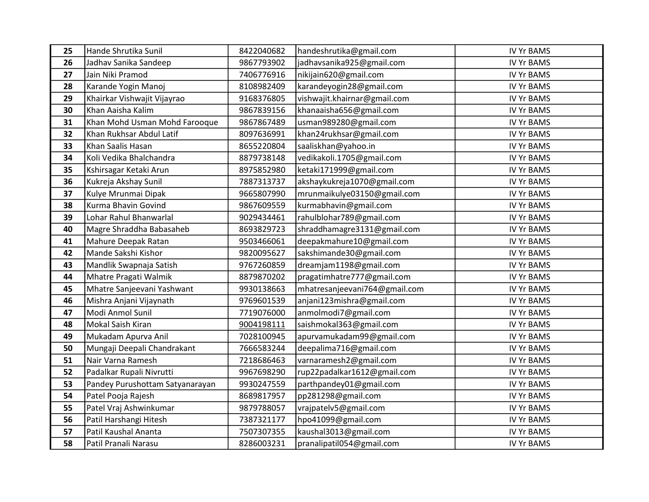| 25 | Hande Shrutika Sunil            | 8422040682 | handeshrutika@gmail.com       | <b>IV Yr BAMS</b> |
|----|---------------------------------|------------|-------------------------------|-------------------|
| 26 | Jadhav Sanika Sandeep           | 9867793902 | jadhavsanika925@gmail.com     | <b>IV Yr BAMS</b> |
| 27 | Jain Niki Pramod                | 7406776916 | nikijain620@gmail.com         | <b>IV Yr BAMS</b> |
| 28 | Karande Yogin Manoj             | 8108982409 | karandeyogin28@gmail.com      | <b>IV Yr BAMS</b> |
| 29 | Khairkar Vishwajit Vijayrao     | 9168376805 | vishwajit.khairnar@gmail.com  | <b>IV Yr BAMS</b> |
| 30 | Khan Aaisha Kalim               | 9867839156 | khanaaisha656@gmail.com       | <b>IV Yr BAMS</b> |
| 31 | Khan Mohd Usman Mohd Farooque   | 9867867489 | usman989280@gmail.com         | <b>IV Yr BAMS</b> |
| 32 | Khan Rukhsar Abdul Latif        | 8097636991 | khan24rukhsar@gmail.com       | <b>IV Yr BAMS</b> |
| 33 | Khan Saalis Hasan               | 8655220804 | saaliskhan@yahoo.in           | <b>IV Yr BAMS</b> |
| 34 | Koli Vedika Bhalchandra         | 8879738148 | vedikakoli.1705@gmail.com     | <b>IV Yr BAMS</b> |
| 35 | Kshirsagar Ketaki Arun          | 8975852980 | ketaki171999@gmail.com        | <b>IV Yr BAMS</b> |
| 36 | Kukreja Akshay Sunil            | 7887313737 | akshaykukreja1070@gmail.com   | <b>IV Yr BAMS</b> |
| 37 | Kulye Mrunmai Dipak             | 9665807990 | mrunmaikulye03150@gmail.com   | <b>IV Yr BAMS</b> |
| 38 | Kurma Bhavin Govind             | 9867609559 | kurmabhavin@gmail.com         | <b>IV Yr BAMS</b> |
| 39 | Lohar Rahul Bhanwarlal          | 9029434461 | rahulblohar789@gmail.com      | <b>IV Yr BAMS</b> |
| 40 | Magre Shraddha Babasaheb        | 8693829723 | shraddhamagre3131@gmail.com   | <b>IV Yr BAMS</b> |
| 41 | Mahure Deepak Ratan             | 9503466061 | deepakmahure10@gmail.com      | <b>IV Yr BAMS</b> |
| 42 | Mande Sakshi Kishor             | 9820095627 | sakshimande30@gmail.com       | <b>IV Yr BAMS</b> |
| 43 | Mandlik Swapnaja Satish         | 9767260859 | dreamjam1198@gmail.com        | <b>IV Yr BAMS</b> |
| 44 | Mhatre Pragati Walmik           | 8879870202 | pragatimhatre777@gmail.com    | <b>IV Yr BAMS</b> |
| 45 | Mhatre Sanjeevani Yashwant      | 9930138663 | mhatresanjeevani764@gmail.com | <b>IV Yr BAMS</b> |
| 46 | Mishra Anjani Vijaynath         | 9769601539 | anjani123mishra@gmail.com     | <b>IV Yr BAMS</b> |
| 47 | Modi Anmol Sunil                | 7719076000 | anmolmodi7@gmail.com          | <b>IV Yr BAMS</b> |
| 48 | Mokal Saish Kiran               | 9004198111 | saishmokal363@gmail.com       | <b>IV Yr BAMS</b> |
| 49 | Mukadam Apurva Anil             | 7028100945 | apurvamukadam99@gmail.com     | <b>IV Yr BAMS</b> |
| 50 | Mungaji Deepali Chandrakant     | 7666583244 | deepalima716@gmail.com        | <b>IV Yr BAMS</b> |
| 51 | Nair Varna Ramesh               | 7218686463 | varnaramesh2@gmail.com        | <b>IV Yr BAMS</b> |
| 52 | Padalkar Rupali Nivrutti        | 9967698290 | rup22padalkar1612@gmail.com   | <b>IV Yr BAMS</b> |
| 53 | Pandey Purushottam Satyanarayan | 9930247559 | parthpandey01@gmail.com       | <b>IV Yr BAMS</b> |
| 54 | Patel Pooja Rajesh              | 8689817957 | pp281298@gmail.com            | <b>IV Yr BAMS</b> |
| 55 | Patel Vraj Ashwinkumar          | 9879788057 | vrajpatelv5@gmail.com         | <b>IV Yr BAMS</b> |
| 56 | Patil Harshangi Hitesh          | 7387321177 | hpo41099@gmail.com            | <b>IV Yr BAMS</b> |
| 57 | Patil Kaushal Ananta            | 7507307355 | kaushal3013@gmail.com         | <b>IV Yr BAMS</b> |
| 58 | Patil Pranali Narasu            | 8286003231 | pranalipatil054@gmail.com     | <b>IV Yr BAMS</b> |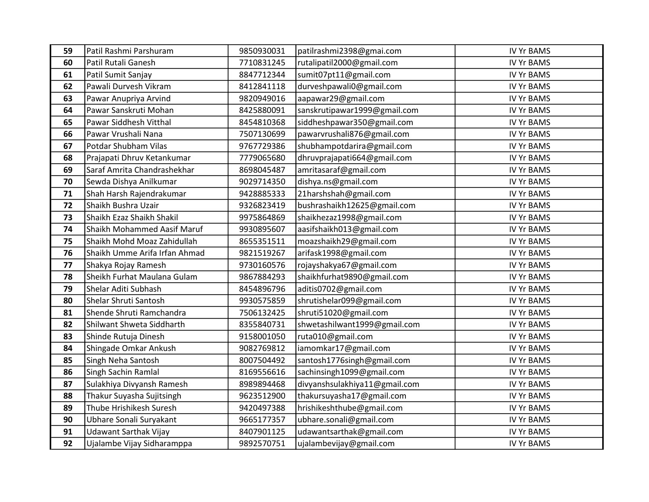| 59 | Patil Rashmi Parshuram        | 9850930031 | patilrashmi2398@gmai.com      | <b>IV Yr BAMS</b> |
|----|-------------------------------|------------|-------------------------------|-------------------|
| 60 | Patil Rutali Ganesh           | 7710831245 | rutalipatil2000@gmail.com     | <b>IV Yr BAMS</b> |
| 61 | Patil Sumit Sanjay            | 8847712344 | sumit07pt11@gmail.com         | <b>IV Yr BAMS</b> |
| 62 | Pawali Durvesh Vikram         | 8412841118 | durveshpawali0@gmail.com      | <b>IV Yr BAMS</b> |
| 63 | Pawar Anupriya Arvind         | 9820949016 | aapawar29@gmail.com           | <b>IV Yr BAMS</b> |
| 64 | Pawar Sanskruti Mohan         | 8425880091 | sanskrutipawar1999@gmail.com  | <b>IV Yr BAMS</b> |
| 65 | Pawar Siddhesh Vitthal        | 8454810368 | siddheshpawar350@gmail.com    | <b>IV Yr BAMS</b> |
| 66 | Pawar Vrushali Nana           | 7507130699 | pawarvrushali876@gmail.com    | <b>IV Yr BAMS</b> |
| 67 | Potdar Shubham Vilas          | 9767729386 | shubhampotdarira@gmail.com    | <b>IV Yr BAMS</b> |
| 68 | Prajapati Dhruv Ketankumar    | 7779065680 | dhruvprajapati664@gmail.com   | <b>IV Yr BAMS</b> |
| 69 | Saraf Amrita Chandrashekhar   | 8698045487 | amritasaraf@gmail.com         | <b>IV Yr BAMS</b> |
| 70 | Sewda Dishya Anilkumar        | 9029714350 | dishya.ns@gmail.com           | <b>IV Yr BAMS</b> |
| 71 | Shah Harsh Rajendrakumar      | 9428885333 | 21harshshah@gmail.com         | <b>IV Yr BAMS</b> |
| 72 | Shaikh Bushra Uzair           | 9326823419 | bushrashaikh12625@gmail.com   | <b>IV Yr BAMS</b> |
| 73 | Shaikh Ezaz Shaikh Shakil     | 9975864869 | shaikhezaz1998@gmail.com      | <b>IV Yr BAMS</b> |
| 74 | Shaikh Mohammed Aasif Maruf   | 9930895607 | aasifshaikh013@gmail.com      | <b>IV Yr BAMS</b> |
| 75 | Shaikh Mohd Moaz Zahidullah   | 8655351511 | moazshaikh29@gmail.com        | <b>IV Yr BAMS</b> |
| 76 | Shaikh Umme Arifa Irfan Ahmad | 9821519267 | arifask1998@gmail.com         | <b>IV Yr BAMS</b> |
| 77 | Shakya Rojay Ramesh           | 9730160576 | rojayshakya67@gmail.com       | <b>IV Yr BAMS</b> |
| 78 | Sheikh Furhat Maulana Gulam   | 9867884293 | shaikhfurhat9890@gmail.com    | <b>IV Yr BAMS</b> |
| 79 | Shelar Aditi Subhash          | 8454896796 | aditis0702@gmail.com          | <b>IV Yr BAMS</b> |
| 80 | Shelar Shruti Santosh         | 9930575859 | shrutishelar099@gmail.com     | <b>IV Yr BAMS</b> |
| 81 | Shende Shruti Ramchandra      | 7506132425 | shruti51020@gmail.com         | <b>IV Yr BAMS</b> |
| 82 | Shilwant Shweta Siddharth     | 8355840731 | shwetashilwant1999@gmail.com  | <b>IV Yr BAMS</b> |
| 83 | Shinde Rutuja Dinesh          | 9158001050 | ruta010@gmail.com             | <b>IV Yr BAMS</b> |
| 84 | Shingade Omkar Ankush         | 9082769812 | iamomkar17@gmail.com          | <b>IV Yr BAMS</b> |
| 85 | Singh Neha Santosh            | 8007504492 | santosh1776singh@gmail.com    | <b>IV Yr BAMS</b> |
| 86 | Singh Sachin Ramlal           | 8169556616 | sachinsingh1099@gmail.com     | <b>IV Yr BAMS</b> |
| 87 | Sulakhiya Divyansh Ramesh     | 8989894468 | divyanshsulakhiya11@gmail.com | <b>IV Yr BAMS</b> |
| 88 | Thakur Suyasha Sujitsingh     | 9623512900 | thakursuyasha17@gmail.com     | <b>IV Yr BAMS</b> |
| 89 | Thube Hrishikesh Suresh       | 9420497388 | hrishikeshthube@gmail.com     | <b>IV Yr BAMS</b> |
| 90 | Ubhare Sonali Suryakant       | 9665177357 | ubhare.sonali@gmail.com       | <b>IV Yr BAMS</b> |
| 91 | Udawant Sarthak Vijay         | 8407901125 | udawantsarthak@gmail.com      | <b>IV Yr BAMS</b> |
| 92 | Ujalambe Vijay Sidharamppa    | 9892570751 | ujalambevijay@gmail.com       | <b>IV Yr BAMS</b> |